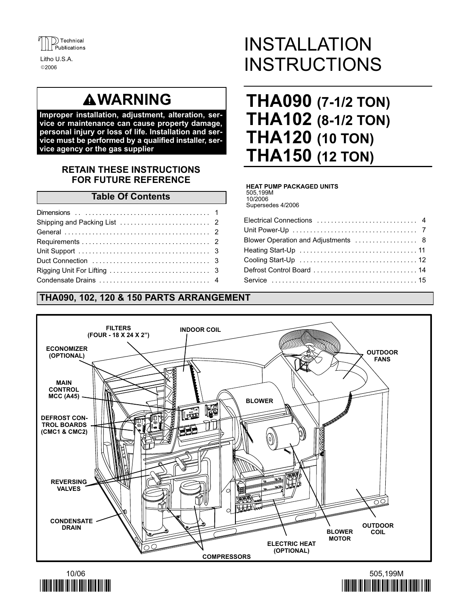

2006 Litho U.S.A.

# **AWARNING**

Improper installation, adjustment, alteration, service or maintenance can cause property damage, personal injury or loss of life. Installation and service must be performed by a qualified installer, service agency or the gas supplier

# RETAIN THESE INSTRUCTIONS FOR FUTURE REFERENCE

### Table Of Contents

| Duct Connection $\ldots, \ldots, \ldots, \ldots, \ldots, \ldots, \ldots, \ldots, 3$ |  |
|-------------------------------------------------------------------------------------|--|
|                                                                                     |  |
|                                                                                     |  |

# THA090, 102, 120 & 150 PARTS ARRANGEMENT

# INSTALLATION **INSTRUCTIONS**

# THA090 (7-1/2 TON) THA102 (8-1/2 TON) THA120 (10 TON) THA150 (12 TON)

#### HEAT PUMP PACKAGED UNITS

505,199M 10/2006

Supersedes 4/2006

| Blower Operation and Adjustments  8 |
|-------------------------------------|
|                                     |
|                                     |
| Defrost Control Board  14           |
|                                     |
|                                     |





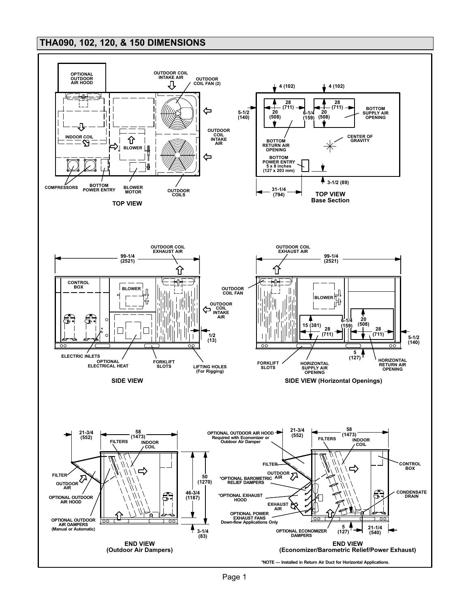# THA090, 102, 120, & 150 DIMENSIONS

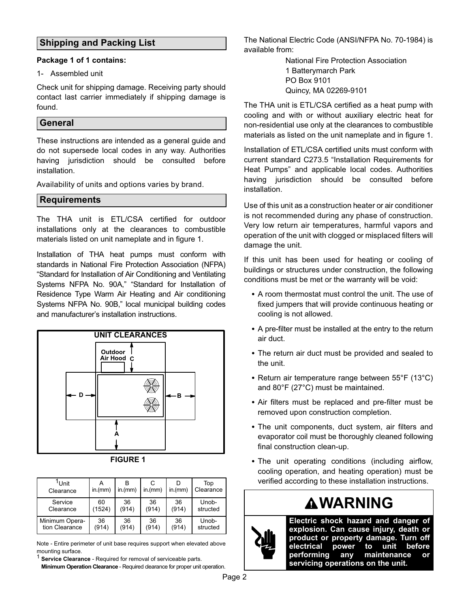# Shipping and Packing List

#### Package 1 of 1 contains:

#### 1− Assembled unit

Check unit for shipping damage. Receiving party should contact last carrier immediately if shipping damage is found.

# **General**

These instructions are intended as a general guide and do not supersede local codes in any way. Authorities having jurisdiction should be consulted before installation.

Availability of units and options varies by brand.

# **Requirements**

The THA unit is ETL/CSA certified for outdoor installations only at the clearances to combustible materials listed on unit nameplate and in figure 1.

Installation of THA heat pumps must conform with standards in National Fire Protection Association (NFPA) Standard for Installation of Air Conditioning and Ventilating Systems NFPA No. 90A," "Standard for Installation of Residence Type Warm Air Heating and Air conditioning Systems NFPA No. 90B," local municipal building codes and manufacturer's installation instructions.



| GUR<br>١E |  |
|-----------|--|
|-----------|--|

| <sup>1</sup> ∪nit<br>Clearance | in.(mm) | in.(mm) | С<br>in.(mm) | in.(mm) | Top<br>Clearance |
|--------------------------------|---------|---------|--------------|---------|------------------|
| Service                        | 60      | 36      | 36           | 36      | Unob-            |
| Clearance                      | (1524)  | (914)   | (914)        | (914)   | structed         |
| Minimum Opera-                 | 36      | 36      | 36           | 36      | Unob-            |
| tion Clearance                 | (914)   | (914)   | (914)        | (914)   | structed         |

Note − Entire perimeter of unit base requires support when elevated above mounting surface.

<sup>1</sup> Service Clearance - Required for removal of serviceable parts. Minimum Operation Clearance - Required clearance for proper unit operation.

The National Electric Code (ANSI/NFPA No. 70−1984) is available from:

> National Fire Protection Association 1 Batterymarch Park PO Box 9101 Quincy, MA 02269−9101

The THA unit is ETL/CSA certified as a heat pump with cooling and with or without auxiliary electric heat for non−residential use only at the clearances to combustible materials as listed on the unit nameplate and in figure 1.

Installation of ETL/CSA certified units must conform with current standard C273.5 "Installation Requirements for Heat Pumps" and applicable local codes. Authorities having jurisdiction should be consulted before installation.

Use of this unit as a construction heater or air conditioner is not recommended during any phase of construction. Very low return air temperatures, harmful vapors and operation of the unit with clogged or misplaced filters will damage the unit.

If this unit has been used for heating or cooling of buildings or structures under construction, the following conditions must be met or the warranty will be void:

- A room thermostat must control the unit. The use of fixed jumpers that will provide continuous heating or cooling is not allowed.
- A pre−filter must be installed at the entry to the return air duct.
- The return air duct must be provided and sealed to the unit.
- Return air temperature range between 55°F (13°C) and 80°F (27°C) must be maintained.
- Air filters must be replaced and pre−filter must be removed upon construction completion.
- The unit components, duct system, air filters and evaporator coil must be thoroughly cleaned following final construction clean−up.
- The unit operating conditions (including airflow, cooling operation, and heating operation) must be verified according to these installation instructions.

# WARNING



Electric shock hazard and danger of explosion. Can cause injury, death or product or property damage. Turn off electrical power to unit before performing any maintenance or servicing operations on the unit.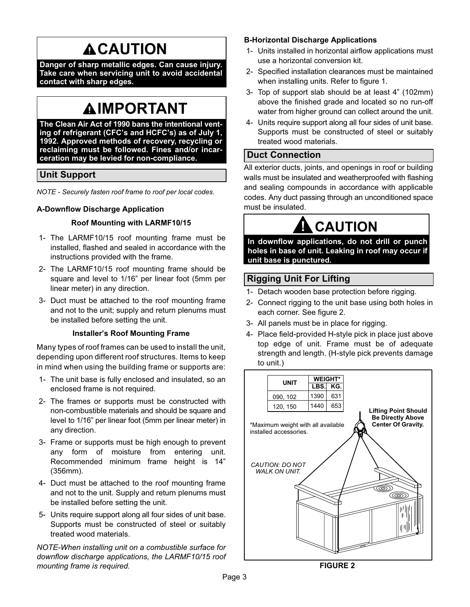# **ACAUTION**

Danger of sharp metallic edges. Can cause injury. Take care when servicing unit to avoid accidental contact with sharp edges.

# **AIMPORTANT**

The Clean Air Act of 1990 bans the intentional venting of refrigerant (CFC's and HCFC's) as of July 1, 1992. Approved methods of recovery, recycling or reclaiming must be followed. Fines and/or incarceration may be levied for non−compliance.

# Unit Support

NOTE − Securely fasten roof frame to roof per local codes.

### A−Downflow Discharge Application

#### Roof Mounting with LARMF10/15

- 1− The LARMF10/15 roof mounting frame must be installed, flashed and sealed in accordance with the instructions provided with the frame.
- 2− The LARMF10/15 roof mounting frame should be square and level to 1/16" per linear foot (5mm per linear meter) in any direction.
- 3− Duct must be attached to the roof mounting frame and not to the unit; supply and return plenums must be installed before setting the unit.

#### Installer's Roof Mounting Frame

Many types of roof frames can be used to install the unit, depending upon different roof structures. Items to keep in mind when using the building frame or supports are:

- 1− The unit base is fully enclosed and insulated, so an enclosed frame is not required.
- 2− The frames or supports must be constructed with non-combustible materials and should be square and level to 1/16" per linear foot (5mm per linear meter) in any direction.
- 3− Frame or supports must be high enough to prevent any form of moisture from entering unit. Recommended minimum frame height is 14" (356mm).
- 4− Duct must be attached to the roof mounting frame and not to the unit. Supply and return plenums must be installed before setting the unit.
- 5− Units require support along all four sides of unit base. Supports must be constructed of steel or suitably treated wood materials.

NOTE−When installing unit on a combustible surface for downflow discharge applications, the LARMF10/15 roof mounting frame is required.

### B−Horizontal Discharge Applications

- 1− Units installed in horizontal airflow applications must use a horizontal conversion kit.
- 2− Specified installation clearances must be maintained when installing units. Refer to figure 1.
- 3− Top of support slab should be at least 4" (102mm) above the finished grade and located so no run−off water from higher ground can collect around the unit.
- 4− Units require support along all four sides of unit base. Supports must be constructed of steel or suitably treated wood materials.

# Duct Connection

All exterior ducts, joints, and openings in roof or building walls must be insulated and weatherproofed with flashing and sealing compounds in accordance with applicable codes. Any duct passing through an unconditioned space must be insulated.

# **CAUTION**

In downflow applications, do not drill or punch holes in base of unit. Leaking in roof may occur if unit base is punctured.

# Rigging Unit For Lifting

- 1− Detach wooden base protection before rigging.
- 2− Connect rigging to the unit base using both holes in each corner. See figure 2.
- 3− All panels must be in place for rigging.
- 4− Place field-provided H-style pick in place just above top edge of unit. Frame must be of adequate strength and length. (H−style pick prevents damage to unit.)

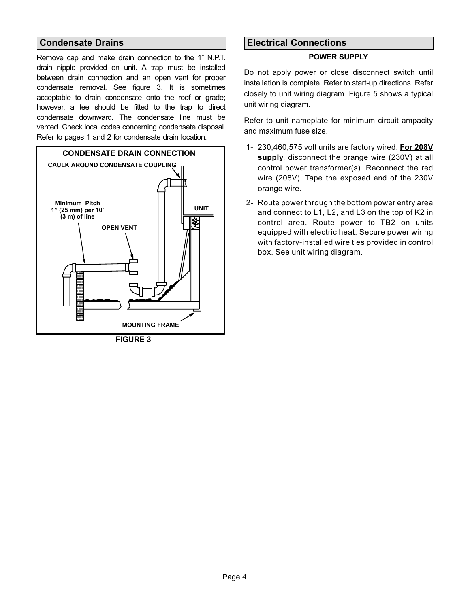# Condensate Drains

Remove cap and make drain connection to the 1" N.P.T. drain nipple provided on unit. A trap must be installed between drain connection and an open vent for proper condensate removal. See figure 3. It is sometimes acceptable to drain condensate onto the roof or grade; however, a tee should be fitted to the trap to direct condensate downward. The condensate line must be vented. Check local codes concerning condensate disposal. Refer to pages 1 and 2 for condensate drain location.



# Electrical Connections

#### POWER SUPPLY

Do not apply power or close disconnect switch until installation is complete. Refer to start−up directions. Refer closely to unit wiring diagram. Figure [5](#page-6-0) shows a typical unit wiring diagram.

Refer to unit nameplate for minimum circuit ampacity and maximum fuse size.

- 1− 230,460,575 volt units are factory wired. For 208V supply, disconnect the orange wire (230V) at all control power transformer(s). Reconnect the red wire (208V). Tape the exposed end of the 230V orange wire.
- 2− Route power through the bottom power entry area and connect to L1, L2, and L3 on the top of K2 in control area. Route power to TB2 on units equipped with electric heat. Secure power wiring with factory−installed wire ties provided in control box. See unit wiring diagram.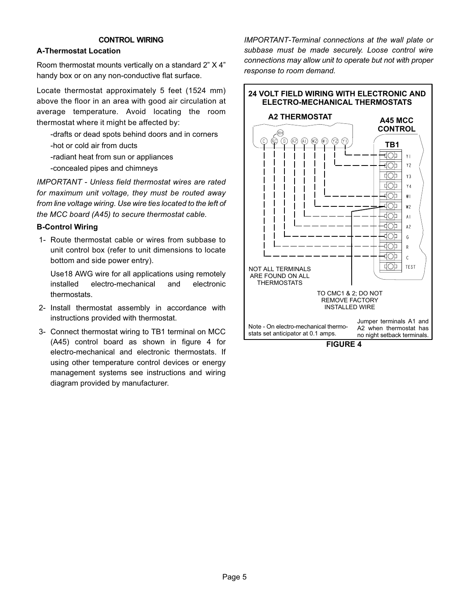#### CONTROL WIRING

### A−Thermostat Location

Room thermostat mounts vertically on a standard 2" X 4" handy box or on any non−conductive flat surface.

Locate thermostat approximately 5 feet (1524 mm) above the floor in an area with good air circulation at average temperature. Avoid locating the room thermostat where it might be affected by:

−drafts or dead spots behind doors and in corners −hot or cold air from ducts

−radiant heat from sun or appliances

−concealed pipes and chimneys

IMPORTANT − Unless field thermostat wires are rated for maximum unit voltage, they must be routed away from line voltage wiring. Use wire ties located to the left of the MCC board (A45) to secure thermostat cable.

#### B−Control Wiring

 1− Route thermostat cable or wires from subbase to unit control box (refer to unit dimensions to locate bottom and side power entry).

Use18 AWG wire for all applications using remotely installed electro−mechanical and electronic thermostats.

- 2− Install thermostat assembly in accordance with instructions provided with thermostat.
- 3− Connect thermostat wiring to TB1 terminal on MCC (A45) control board as shown in figure 4 for electro−mechanical and electronic thermostats. If using other temperature control devices or energy management systems see instructions and wiring diagram provided by manufacturer.

IMPORTANT−Terminal connections at the wall plate or subbase must be made securely. Loose control wire connections may allow unit to operate but not with proper response to room demand.



FIGURE 4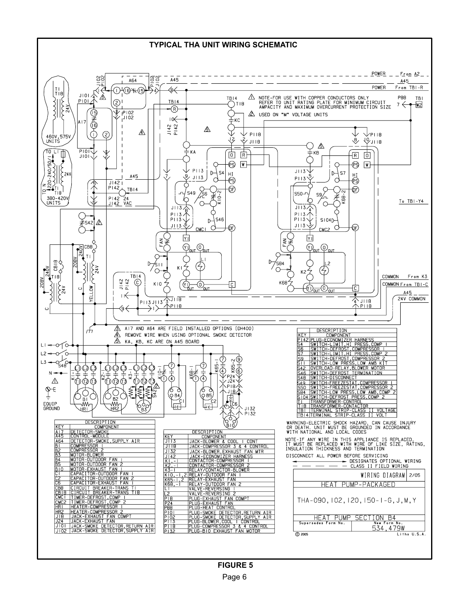<span id="page-6-0"></span>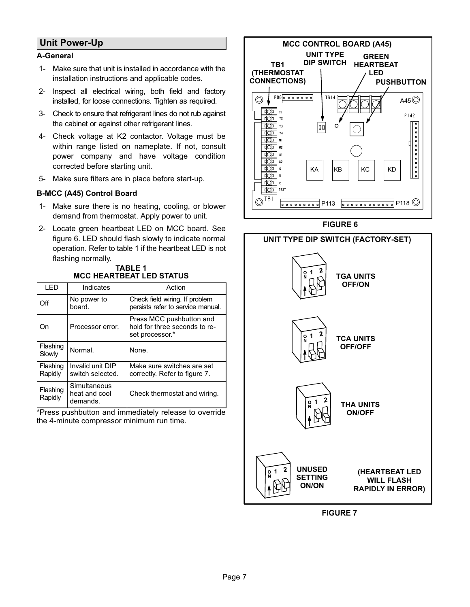# Unit Power−Up

# A−General

- 1− Make sure that unit is installed in accordance with the installation instructions and applicable codes.
- 2− Inspect all electrical wiring, both field and factory installed, for loose connections. Tighten as required.
- 3− Check to ensure that refrigerant lines do not rub against the cabinet or against other refrigerant lines.
- 4− Check voltage at K2 contactor. Voltage must be within range listed on nameplate. If not, consult power company and have voltage condition corrected before starting unit.
- 5− Make sure filters are in place before start-up.

### B−MCC (A45) Control Board

- 1− Make sure there is no heating, cooling, or blower demand from thermostat. Apply power to unit.
- 2− Locate green heartbeat LED on MCC board. See figure 6. LED should flash slowly to indicate normal operation. Refer to table 1 if the heartbeat LED is not flashing normally.

#### TABLE 1 MCC HEARTBEAT LED STATUS

| I ED                | Indicates                                 | Action                                                                       |
|---------------------|-------------------------------------------|------------------------------------------------------------------------------|
| Off                 | No power to<br>board.                     | Check field wiring. If problem<br>persists refer to service manual.          |
| Dn)                 | Processor error.                          | Press MCC pushbutton and<br>hold for three seconds to re-<br>set processor.* |
| Flashing<br>Slowly  | Normal.                                   | None.                                                                        |
| Flashing<br>Rapidly | Invalid unit DIP<br>switch selected.      | Make sure switches are set<br>correctly. Refer to figure 7.                  |
| Flashing<br>Rapidly | Simultaneous<br>heat and cool<br>demands. | Check thermostat and wiring.                                                 |

\*Press pushbutton and immediately release to override the 4−minute compressor minimum run time.



FIGURE 6



FIGURE 7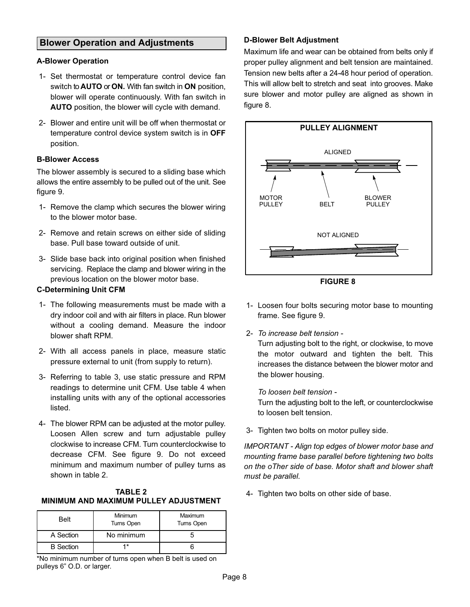# Blower Operation and Adjustments

#### A−Blower Operation

- 1− Set thermostat or temperature control device fan switch to AUTO or ON. With fan switch in ON position, blower will operate continuously. With fan switch in AUTO position, the blower will cycle with demand.
- 2− Blower and entire unit will be off when thermostat or temperature control device system switch is in OFF position.

#### B−Blower Access

The blower assembly is secured to a sliding base which allows the entire assembly to be pulled out of the unit. See figure [9](#page-9-0).

- 1− Remove the clamp which secures the blower wiring to the blower motor base.
- 2− Remove and retain screws on either side of sliding base. Pull base toward outside of unit.
- 3− Slide base back into original position when finished servicing. Replace the clamp and blower wiring in the previous location on the blower motor base.

### C−Determining Unit CFM

- 1− The following measurements must be made with a dry indoor coil and with air filters in place. Run blower without a cooling demand. Measure the indoor blower shaft RPM.
- 2− With all access panels in place, measure static pressure external to unit (from supply to return).
- 3− Referring to table [3](#page-10-0), use static pressure and RPM readings to determine unit CFM. Use table [4](#page-11-0) when installing units with any of the optional accessories listed.
- 4− The blower RPM can be adjusted at the motor pulley. Loosen Allen screw and turn adjustable pulley clockwise to increase CFM. Turn counterclockwise to decrease CFM. See figure [9.](#page-9-0) Do not exceed minimum and maximum number of pulley turns as shown in table 2.

#### TABLE 2 MINIMUM AND MAXIMUM PULLEY ADJUSTMENT

| <b>Belt</b>      | Minimum<br><b>Turns Open</b> | Maximum<br><b>Turns Open</b> |  |  |
|------------------|------------------------------|------------------------------|--|--|
| A Section        | No minimum                   |                              |  |  |
| <b>B</b> Section | *                            |                              |  |  |

\*No minimum number of turns open when B belt is used on pulleys 6" O.D. or larger.

### D−Blower Belt Adjustment

Maximum life and wear can be obtained from belts only if proper pulley alignment and belt tension are maintained. Tension new belts after a 24−48 hour period of operation. This will allow belt to stretch and seat into grooves. Make sure blower and motor pulley are aligned as shown in figure 8.



FIGURE 8

- 1− Loosen four bolts securing motor base to mounting frame. See figure [9](#page-9-0).
- 2− To increase belt tension −

Turn adjusting bolt to the right, or clockwise, to move the motor outward and tighten the belt. This increases the distance between the blower motor and the blower housing.

#### To loosen belt tension −

Turn the adjusting bolt to the left, or counterclockwise to loosen belt tension.

3− Tighten two bolts on motor pulley side.

IMPORTANT − Align top edges of blower motor base and mounting frame base parallel before tightening two bolts on the oTher side of base. Motor shaft and blower shaft must be parallel.

4− Tighten two bolts on other side of base.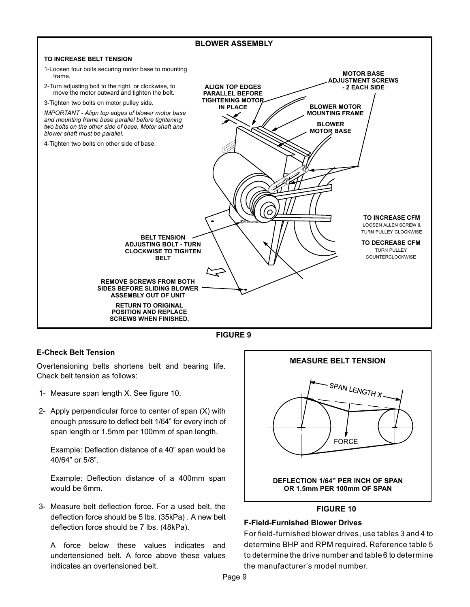#### <span id="page-9-0"></span>BLOWER ASSEMBLY TO INCREASE BELT TENSION 1−Loosen four bolts securing motor base to mounting MOTOR BASE frame. ADJUSTMENT SCREWS 2−Turn adjusting bolt to the right, or clockwise, to ALIGN TOP EDGES − 2 EACH SIDE move the motor outward and tighten the belt. PARALLEL BEFORE TIGHTENING MOTOR 3−Tighten two bolts on motor pulley side. IN PLACE BLOWER MOTOR IMPORTANT − Align top edges of blower motor base MOUNTING FRAME and mounting frame base parallel before tightening BLOWER two bolts on the other side of base. Motor shaft and MOTOR BASE blower shaft must be parallel. 4−Tighten two bolts on other side of base. ο′ TO INCREASE CFM LOOSEN ALLEN SCREW & TURN PULLEY CLOCKWISE BELT TENSION TO DECREASE CFM ADJUSTING BOLT − TURN TURN PULLEY CLOCKWISE TO TIGHTEN **COUNTERCLOCKWISE** BELT  $\mathbf{R}$ REMOVE SCREWS FROM BOTH SIDES BEFORE SLIDING BLOWER ASSEMBLY OUT OF UNIT RETURN TO ORIGINAL POSITION AND REPLACE SCREWS WHEN FINISHED.



# E−Check Belt Tension

Overtensioning belts shortens belt and bearing life. Check belt tension as follows:

- 1− Measure span length X. See figure 10.
- 2− Apply perpendicular force to center of span (X) with enough pressure to deflect belt 1/64" for every inch of span length or 1.5mm per 100mm of span length.

Example: Deflection distance of a 40" span would be 40/64" or 5/8".

Example: Deflection distance of a 400mm span would be 6mm.

 3− Measure belt deflection force. For a used belt, the deflection force should be 5 lbs. (35kPa) . A new belt deflection force should be 7 lbs. (48kPa).

A force below these values indicates and undertensioned belt. A force above these values indicates an overtensioned belt.



# FIGURE 10

# F−Field−Furnished Blower Drives

For field−furnished blower drives, use tables [3](#page-10-0) and [4](#page-11-0) to determine BHP and RPM required. Reference table [5](#page-11-0) to determine the drive number and table [6](#page-11-0) to determine the manufacturer's model number.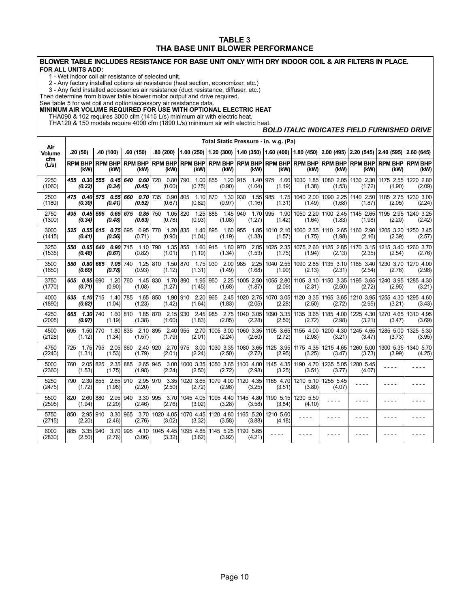#### TABLE 3 THA BASE UNIT BLOWER PERFORMANCE

#### <span id="page-10-0"></span>BLOWER TABLE INCLUDES RESISTANCE FOR BASE UNIT ONLY WITH DRY INDOOR COIL & AIR FILTERS IN PLACE. FOR ALL UNITS ADD:

1 − Wet indoor coil air resistance of selected unit.

2 − Any factory installed options air resistance (heat section, economizer, etc.)

3 − Any field installed accessories air resistance (duct resistance, diffuser, etc.)

Then determine from blower table blower motor output and drive required.

See table 5 for wet coil and option/accessory air resistance data.

#### MINIMUM AIR VOLUME REQUIRED FOR USE WITH OPTIONAL ELECTRIC HEAT

THA090 & 102 requires 3000 cfm (1415 L/s) minimum air with electric heat.

THA120 & 150 models require 4000 cfm (1890 L/s) minimum air with electric heat.

#### BOLD ITALIC INDICATES FIELD FURNISHED DRIVE

|                |                             | Total Static Pressure - in. w.g. (Pa)    |                                 |                                        |                                                                                                                  |                             |                           |                               |                        |                                         |                                         |                        |                        |
|----------------|-----------------------------|------------------------------------------|---------------------------------|----------------------------------------|------------------------------------------------------------------------------------------------------------------|-----------------------------|---------------------------|-------------------------------|------------------------|-----------------------------------------|-----------------------------------------|------------------------|------------------------|
| Air<br>Volume  | .20(50)                     | .40 (100)                                | .60(150)                        | .80(200)                               | $(1.00 (250) (1.20 (300) (1.40 (350) (1.60 (400) (1.80 (450) (2.00 (495) (2.20 (545) (2.40 (595) (2.60 (645))))$ |                             |                           |                               |                        |                                         |                                         |                        |                        |
| cfm<br>(L/s)   | RPM BHP<br>(kW)             | <b>RPM BHP</b><br>(kW)                   | <b>RPM BHP</b><br>(kW)          | <b>RPM BHP</b><br>(kW)                 | <b>RPM BHP</b><br>(kW)                                                                                           | <b>RPM BHP</b><br>(kW)      | RPM BHP RPM BHP<br>(kW)   | (kW)                          | <b>RPM BHP</b><br>(kW) | (kW)                                    | <b>RPM BHP RPM BHP</b><br>(kW)          | <b>RPM BHP</b><br>(kW) | <b>RPM BHP</b><br>(kW) |
| 2250<br>(1060) | 455   0.30<br>(0.22)        | 555<br>(0.34)                            | 0.456640<br>0.60<br>(0.45)      | 0.80 790<br>720<br>(0.60)              | 1.00<br>(0.75)                                                                                                   | 855<br>1.20<br>(0.90)       | 915<br>1.40 975<br>(1.04) | 1.60<br>(1.19)                | 1030 1.85<br>(1.38)    | (1.53)                                  | 1080 2.05 1130 2.30 1175 2.55<br>(1.72) | (1.90)                 | 1220 2.80<br>(2.09)    |
| 2500<br>(1180) | 475   0.40<br>(0.30)        | 575<br>(0.41)                            | $0.55$ 660<br>0.70<br>(0.52)    | 735<br>0.90 805<br>(0.67)              | 1.10 870<br>(0.82)                                                                                               | 1.30 930<br>(0.97)          | 1.55 985<br>(1.16)        | 1.75<br>(1.31)                | 1040 2.00<br>(1.49)    | (1.68)                                  | 1090 2.25 1140 2.50<br>(1.87)           | 1185 2.75<br>(2.05)    | 1230 3.00<br>(2.24)    |
| 2750<br>(1300) | 495   0.45<br>(0.34)        | 595<br>(0.48)                            | $0.65$ 675 $0.85$ 750<br>(0.63) | 1.05 820<br>(0.78)                     | 1.25<br>(0.93)                                                                                                   | 885<br>1.45 940<br>(1.08)   | 1.70 995<br>(1.27)        | 1.90<br>(1.42)                | 1050 2.20<br>(1.64)    | (1.83)                                  | 1100 2.45 1145 2.65<br>(1.98)           | 1195 2.95<br>(2.20)    | 1240 3.25<br>(2.42)    |
| 3000<br>(1415) | 525   0.55   615<br>(0.41)  | (0.56)                                   | $0.75$ 695<br>(0.71)            | 0.95 770<br>1.20 835<br>(0.90)         | 1.40<br>(1.04)                                                                                                   | 895<br>1.60<br>(1.19)       | 955<br>(1.38)             | 1.85 1010 2.10<br>(1.57)      | (1.75)                 | 1060 2.35 1110 2.65 1160 2.90<br>(1.98) | (2.16)                                  | 1205 3.20<br>(2.39)    | 1250 3.45<br>(2.57)    |
| 3250<br>(1535) | 550<br>(0.48)               | 0.65 640<br>(0.67)                       | $0.90$ 715 1.10<br>(0.82)       | 790<br>1.35 855<br>(1.01)              | 1.60<br>(1.19)                                                                                                   | 915 1.80 970<br>(1.34)      | (1.53)                    | 2.05 1025 2.35<br>(1.75)      | 1075 2.60<br>(1.94)    | (2.13)                                  | 1125 2.85 1170 3.15<br>(2.35)           | 1215 3.40<br>(2.54)    | 1260 3.70<br>(2.76)    |
| 3500<br>(1650) | (0.60)                      | 580 0.80 665 1.05 740<br>(0.78)          | 1.25 810<br>(0.93)              | 1.50 870<br>(1.12)                     | (1.31)                                                                                                           | 1.75 930 2.00 985<br>(1.49) | (1.68)                    | 2.25 1040 2.55<br>(1.90)      | (2.13)                 | 1090 2.85 1135 3.10 1185 3.40<br>(2.31) | (2.54)                                  | 1230 3.70<br>(2.76)    | 1270 4.00<br>(2.98)    |
| 3750<br>(1770) | 605 0.95 690<br>(0.71)      | (0.90)                                   | 1.20 760 1.45 830<br>(1.08)     | 1.70 890<br>(1.27)                     | (1.45)                                                                                                           | 1.95 950 2.25<br>(1.68)     | (1.87)                    | 1005 2.50 1055 2.80<br>(2.09) | (2.31)                 | 1105 3.10 1150 3.35 1195 3.65<br>(2.50) | (2.72)                                  | 1240 3.95<br>(2.95)    | 1285 4.30<br>(3.21)    |
| 4000<br>(1890) | $1.10$ 715<br>635<br>(0.82) | 1.40<br>(1.04)                           | 1.65 850<br>785<br>(1.23)       | (1.42)                                 | 1.90 910 2.20 965 2.45<br>(1.64)                                                                                 | (1.83)                      | (2.05)                    | 1020 2.75 1070 3.05<br>(2.28) | 1120 3.35<br>(2.50)    | (2.72)                                  | 1165 3.65 1210 3.95<br>(2.95)           | 1255 4.30<br>(3.21)    | 1295 4.60<br>(3.43)    |
| 4250<br>(2005) | 1.30 740<br>665<br>(0.97)   | (1.19)                                   | (1.38)                          | 1.60 810  1.85 870  2.15 930<br>(1.60) | (1.83)                                                                                                           | 2.45 985 2.75<br>(2.05)     | (2.28)                    | 1040 3.05 1090 3.35<br>(2.50) | 1135 3.65<br>(2.72)    | (2.98)                                  | 1185 4.00 1225 4.30<br>(3.21)           | 1270 4.65<br>(3.47)    | 1310 4.95<br>(3.69)    |
| 4500<br>(2125) | 695 1.50 770<br>(1.12)      | (1.34)                                   | 1.80 835 2.10<br>(1.57)         | 895<br>(1.79)                          | 2.40 955 2.70<br>(2.01)                                                                                          | 1005 3.00<br>(2.24)         | (2.50)                    | 1060 3.35 1105 3.65<br>(2.72) | 1155 4.00<br>(2.98)    | 1200 4.30<br>(3.21)                     | 1245 4.65<br>(3.47)                     | 1285 5.00<br>(3.73)    | 1325 5.30<br>(3.95)    |
| 4750<br>(2240) | (1.31)                      | 725 1.75 795 2.05 860<br>(1.53)          | 2.40<br>(1.79)                  | 920<br>(2.01)                          | 2.70 975 3.00<br>(2.24)                                                                                          | 1030 3.35<br>(2.50)         | (2.72)                    | 1080 3.65 1125 3.95<br>(2.95) | 1175 4.35<br>(3.25)    | 1215 4.65<br>(3.47)                     | 1260 5.00<br>(3.73)                     | 1300 5.35<br>(3.99)    | 1340 5.70<br>(4.25)    |
| 5000<br>(2360) | 760 2.05 825<br>(1.53)      | 2.35<br>(1.75)                           | 885<br>2.65<br>(1.98)           | 3.00<br>945<br>(2.24)                  | 1000 3.35<br>(2.50)                                                                                              | 1050 3.65<br>(2.72)         | (2.98)                    | 1100 4.00 1145 4.35<br>(3.25) | 1190 4.70<br>(3.51)    | 1235 5.05<br>(3.77)                     | 1280 5.45<br>(4.07)                     | - - - -                |                        |
| 5250<br>(2475) | (1.72)                      | 790 2.30 855 2.65 910 2.95 970<br>(1.98) | (2.20)                          | 3.35<br>(2.50)                         | 1020 3.65<br>(2.72)                                                                                              | 1070 4.00<br>(2.98)         | 1120 4.35<br>(3.25)       | 1165 4.70<br>(3.51)           | 1210 5.10<br>(3.80)    | 1255 5.45<br>(4.07)                     | - - - -                                 |                        |                        |
| 5500<br>(2595) | 820 2.60 880<br>(1.94)      | 2.95<br>(2.20)                           | 3.30<br>940<br>(2.46)           | 995<br>3.70<br>(2.76)                  | 1045 4.05<br>(3.02)                                                                                              | 1095 4.40<br>(3.28)         | (3.58)                    | 1145 4.80 1190 5.15<br>(3.84) | 1230 5.50<br>(4.10)    | ----                                    |                                         |                        |                        |
| 5750<br>(2715) | 850<br>(2.20)               | 2.95 910<br>3.30<br>(2.46)               | 3.70<br>965<br>(2.76)           | 1020 4.05<br>(3.02)                    | 1070 4.45<br>(3.32)                                                                                              | 1120 4.80<br>(3.58)         | 1165 5.20<br>(3.88)       | 1210 5.60<br>(4.18)           | ----                   |                                         |                                         |                        |                        |
| 6000<br>(2830) | 885<br>3.35<br>(2.50)       | 940<br>3.70<br>(2.76)                    | 995<br>4.10<br>(3.06)           | 1045 4.45<br>(3.32)                    | 1095 4.85<br>(3.62)                                                                                              | 1145 5.25<br>(3.92)         | 1190 5.65<br>(4.21)       | ----                          |                        |                                         |                                         |                        |                        |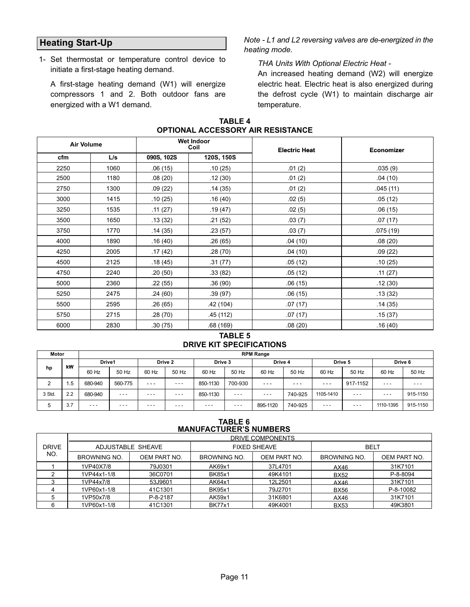# <span id="page-11-0"></span>Heating Start-Up

 1− Set thermostat or temperature control device to initiate a first−stage heating demand.

A first−stage heating demand (W1) will energize compressors 1 and 2. Both outdoor fans are energized with a W1 demand.

Note − L1 and L2 reversing valves are de−energized in the heating mode.

### THA Units With Optional Electric Heat −

An increased heating demand (W2) will energize electric heat. Electric heat is also energized during the defrost cycle (W1) to maintain discharge air temperature.

| <b>Air Volume</b> |      |            | <b>Wet Indoor</b><br>Coil | <b>Electric Heat</b> | <b>Economizer</b> |
|-------------------|------|------------|---------------------------|----------------------|-------------------|
| cfm               | L/s  | 090S, 102S | 120S, 150S                |                      |                   |
| 2250              | 1060 | .06(15)    | .10(25)                   | .01(2)               | .035(9)           |
| 2500              | 1180 | .08(20)    | .12(30)                   | .01(2)               | .04(10)           |
| 2750              | 1300 | .09(22)    | .14(35)                   | .01(2)               | .045(11)          |
| 3000              | 1415 | .10(25)    | .16(40)                   | .02(5)               | .05(12)           |
| 3250              | 1535 | .11(27)    | .19(47)                   | .02(5)               | .06(15)           |
| 3500              | 1650 | .13(32)    | .21(52)                   | .03(7)               | .07(17)           |
| 3750              | 1770 | .14(35)    | .23 (57)                  | .03(7)               | .075(19)          |
| 4000              | 1890 | .16(40)    | .26(65)                   | .04(10)              | .08(20)           |
| 4250              | 2005 | .17 (42)   | .28 (70)                  | .04 (10)             | .09(22)           |
| 4500              | 2125 | .18(45)    | .31 (77)                  | .05(12)              | .10(25)           |
| 4750              | 2240 | .20(50)    | .33 (82)                  | .05(12)              | .11(27)           |
| 5000              | 2360 | .22(55)    | .36 (90)                  | .06(15)              | .12(30)           |
| 5250              | 2475 | .24(60)    | .39(97)                   | .06(15)              | .13(32)           |
| 5500              | 2595 | .26 (65)   | .42(104)                  | .07(17)              | .14(35)           |
| 5750              | 2715 | .28 (70)   | .45(112)                  | .07 (17)             | .15(37)           |
| 6000              | 2830 | .30 (75)   | .68(169)                  | .08 (20)             | .16(40)           |

#### TABLE 4 OPTIONAL ACCESSORY AIR RESISTANCE

#### TABLE 5 DRIVE KIT SPECIFICATIONS

| Motor  |     | <b>RPM Range</b> |         |         |         |          |         |          |         |           |          |           |          |
|--------|-----|------------------|---------|---------|---------|----------|---------|----------|---------|-----------|----------|-----------|----------|
| kW     |     | Drive1           |         | Drive 2 |         | Drive 3  |         | Drive 4  |         | Drive 5   |          | Drive 6   |          |
| hp     |     | 60 Hz            | 50 Hz   | 60 Hz   | 50 Hz   | 60 Hz    | 50 Hz   | 60 Hz    | 50 Hz   | 60 Hz     | 50 Hz    | 60 Hz     | 50 Hz    |
| 2      | .5  | 680-940          | 560-775 | $- - -$ | $- - -$ | 850-1130 | 700-930 | ---      | ---     | ---       | 917-1152 | $- - -$   | $- - -$  |
| 3 Std. | 2.2 | 680-940          | $- - -$ | $- - -$ | $- - -$ | 850-1130 | $- - -$ | $- - -$  | 740-925 | 1105-1410 | $- - -$  | $- - -$   | 915-1150 |
| 5      | 3.7 | $- - -$          | $- - -$ | $- - -$ | $- - -$ | $- - -$  | $- - -$ | 895-1120 | 740-925 | $- - -$   | $- - -$  | 1110-1395 | 915-1150 |

#### TABLE 6 MANUFACTURER'S NUMBERS

|              | DRIVE COMPONENTS    |              |                              |                     |                     |              |  |  |  |
|--------------|---------------------|--------------|------------------------------|---------------------|---------------------|--------------|--|--|--|
| <b>DRIVE</b> | ADJUSTABLE SHEAVE   |              |                              | <b>FIXED SHEAVE</b> | <b>BELT</b>         |              |  |  |  |
| NO.          | <b>BROWNING NO.</b> | OEM PART NO. | OEM PART NO.<br>BROWNING NO. |                     | <b>BROWNING NO.</b> | OEM PART NO. |  |  |  |
|              | 1VP40X7/8           | 79J0301      | AK69x1                       | 37L4701             | AX46                | 31K7101      |  |  |  |
|              | 1VP44x1-1/8         | 36C0701      | <b>BK85x1</b>                | 49K4101             | <b>BX52</b>         | P-8-8094     |  |  |  |
|              | 1VP44x7/8           | 53J9601      | AK64x1                       | 12L2501             | AX46                | 31K7101      |  |  |  |
|              | 1VP60x1-1/8         | 41C1301      | <b>BK95x1</b>                | 79J2701             | <b>BX56</b>         | P-8-10082    |  |  |  |
|              | 1VP50x7/8           | P-8-2187     | AK59x1                       | 31K6801             | AX46                | 31K7101      |  |  |  |
|              | 1VP60x1-1/8         | 41C1301      | <b>BK77x1</b>                | 49K4001             | <b>BX53</b>         | 49K3801      |  |  |  |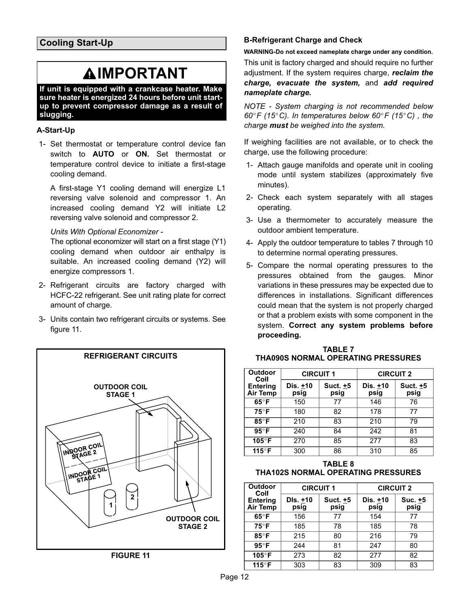# **AIMPORTANT**

<span id="page-12-0"></span>If unit is equipped with a crankcase heater. Make sure heater is energized 24 hours before unit start− up to prevent compressor damage as a result of slugging.

# A−Start−Up

 1− Set thermostat or temperature control device fan switch to **AUTO** or **ON.** Set thermostat or temperature control device to initiate a first−stage cooling demand.

A first−stage Y1 cooling demand will energize L1 reversing valve solenoid and compressor 1. An increased cooling demand Y2 will initiate L2 reversing valve solenoid and compressor 2.

### Units With Optional Economizer −

The optional economizer will start on a first stage (Y1) cooling demand when outdoor air enthalpy is suitable. An increased cooling demand (Y2) will energize compressors 1.

- 2− Refrigerant circuits are factory charged with HCFC-22 refrigerant. See unit rating plate for correct amount of charge.
- 3− Units contain two refrigerant circuits or systems. See figure 11.



### B−Refrigerant Charge and Check

WARNING−Do not exceed nameplate charge under any condition. This unit is factory charged and should require no further adjustment. If the system requires charge, reclaim the charge, evacuate the system, and add required nameplate charge.

NOTE − System charging is not recommended below  $60^{\circ}$ F (15°C). In temperatures below  $60^{\circ}$ F (15°C), the charge **must** be weighed into the system.

If weighing facilities are not available, or to check the charge, use the following procedure:

- 1− Attach gauge manifolds and operate unit in cooling mode until system stabilizes (approximately five minutes).
- 2− Check each system separately with all stages operating.
- 3− Use a thermometer to accurately measure the outdoor ambient temperature.
- 4− Apply the outdoor temperature to tables 7 through [10](#page-13-0) to determine normal operating pressures.
- 5− Compare the normal operating pressures to the pressures obtained from the gauges. Minor variations in these pressures may be expected due to differences in installations. Significant differences could mean that the system is not properly charged or that a problem exists with some component in the system. Correct any system problems before proceeding.

| <b>TABLE 7</b>                     |
|------------------------------------|
| THA090S NORMAL OPERATING PRESSURES |

| Outdoor<br>Coil             | <b>CIRCUIT 1</b> |                    | <b>CIRCUIT 2</b> |                  |  |
|-----------------------------|------------------|--------------------|------------------|------------------|--|
| <b>Entering</b><br>Air Temp | Dis. +10<br>psig | Suct. $±5$<br>psig | Dis. +10<br>psig | Suct. +5<br>psig |  |
| $65^{\circ}$ F              | 150              | 77                 | 146              | 76               |  |
| $75^{\circ}$ F              | 180              | 82                 | 178              | 77               |  |
| 85°F                        | 210              | 83                 | 210              | 79               |  |
| $95^\circ$ F                | 240              | 84                 | 242              | 81               |  |
| 105°F                       | 270              | 85                 | 277              | 83               |  |
| 115°F                       | 300              | 86                 | 310              | 85               |  |

#### TABLE 8 THA102S NORMAL OPERATING PRESSURES

| <b>Outdoor</b><br>Coil             | <b>CIRCUIT 1</b> |                  | <b>CIRCUIT 2</b> |                 |
|------------------------------------|------------------|------------------|------------------|-----------------|
| <b>Entering</b><br><b>Air Temp</b> | DIs. +10<br>psig | Suct. +5<br>psig | Dis. +10<br>psig | Suc. +5<br>psig |
| $65^{\circ}$ F                     | 156              | 77               | 154              | 77              |
| $75^{\circ}$ F                     | 185              | 78               | 185              | 78              |
| $85^\circ$ F                       | 215              | 80               | 216              | 79              |
| $95^{\circ}$ F                     | 244              | 81               | 247              | 80              |
| 105°F                              | 273              | 82               | 277              | 82              |
| 115°F                              | 303              | 83               | 309              | 83              |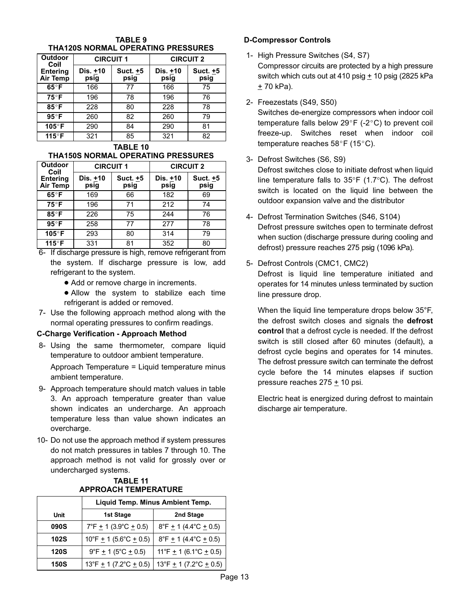<span id="page-13-0"></span>

| THA120S NORMAL OPERATING PRESSURES |                  |                  |                  |                  |
|------------------------------------|------------------|------------------|------------------|------------------|
| <b>Outdoor</b><br>Coil             | <b>CIRCUIT 1</b> |                  | <b>CIRCUIT 2</b> |                  |
| <b>Entering</b><br>Air Temp        | Dis. +10<br>psig | Suct. +5<br>psig | Dis. +10<br>psig | Suct. +5<br>psig |
| $65^{\circ}$ F                     | 166              | 77               | 166              | 75               |
| $75^{\circ}$ F                     | 196              | 78               | 196              | 76               |
| 85°F                               | 228              | 80               | 228              | 78               |
| $95^\circ$ F                       | 260              | 82               | 260              | 79               |
| 105°F                              | 290              | 84               | 290              | 81               |
| 115°F                              | 321              | 85               | 321              | 82               |

# TABLE 9

#### TABLE 10 THA150S NORMAL OPERATING PRESSURES

| <b>Outdoor</b><br>Coil             | <b>CIRCUIT 1</b> |                  | <b>CIRCUIT 2</b> |                  |
|------------------------------------|------------------|------------------|------------------|------------------|
| <b>Entering</b><br><b>Air Temp</b> | Dis. +10<br>psig | Suct. +5<br>psig | Dis. +10<br>psig | Suct. +5<br>psig |
| $65^{\circ}$ F                     | 169              | 66               | 182              | 69               |
| $75^{\circ}$ F                     | 196              | 71               | 212              | 74               |
| $85^\circ$ F                       | 226              | 75               | 244              | 76               |
| $95^{\circ}$ F                     | 258              | 77               | 277              | 78               |
| 105°F                              | 293              | 80               | 314              | 79               |
| 115°F                              | 331              | 81               | 352              | 80               |

- 6− If discharge pressure is high, remove refrigerant from the system. If discharge pressure is low, add refrigerant to the system.
	- Add or remove charge in increments.
	- Allow the system to stabilize each time refrigerant is added or removed.
- 7− Use the following approach method along with the normal operating pressures to confirm readings.

#### C−Charge Verification − Approach Method

 8− Using the same thermometer, compare liquid temperature to outdoor ambient temperature.

Approach Temperature = Liquid temperature minus ambient temperature.

- 9− Approach temperature should match values in table 3. An approach temperature greater than value shown indicates an undercharge. An approach temperature less than value shown indicates an overcharge.
- 10− Do not use the approach method if system pressures do not match pressures in tables [7](#page-12-0) through 10. The approach method is not valid for grossly over or undercharged systems.

#### TABLE 11 APPROACH TEMPERATURE

|             | Liquid Temp. Minus Ambient Temp.                   |                                                    |  |
|-------------|----------------------------------------------------|----------------------------------------------------|--|
| Unit        | 1st Stage                                          | 2nd Stage                                          |  |
| <b>090S</b> | $7^{\circ}$ F $\pm$ 1 (3.9 $^{\circ}$ C $\pm$ 0.5) | $8^{\circ}$ F $\pm$ 1 (4.4 $^{\circ}$ C $\pm$ 0.5) |  |
| 102S        | $10^{\circ}$ F $\pm$ 1 (5.6°C $\pm$ 0.5)           | $8^{\circ}$ F $\pm$ 1 (4.4 $^{\circ}$ C $\pm$ 0.5) |  |
| <b>120S</b> | $9^{\circ}F + 1$ (5°C + 0.5)                       | 11°F $\pm$ 1 (6.1°C $\pm$ 0.5)                     |  |
| <b>150S</b> | 13°F $\pm$ 1 (7.2°C $\pm$ 0.5)                     | 13°F $\pm$ 1 (7.2°C $\pm$ 0.5)                     |  |

#### D−Compressor Controls

- 1− High Pressure Switches (S4, S7) Compressor circuits are protected by a high pressure switch which cuts out at 410 psig  $+$  10 psig (2825 kPa + 70 kPa).
- 2− Freezestats (S49, S50)

Switches de−energize compressors when indoor coil temperature falls below 29°F (-2°C) to prevent coil freeze−up. Switches reset when indoor coil temperature reaches  $58^{\circ}$ F (15°C).

3− Defrost Switches (S6, S9)

Defrost switches close to initiate defrost when liquid line temperature falls to 35°F (1.7°C). The defrost switch is located on the liquid line between the outdoor expansion valve and the distributor

- 4− Defrost Termination Switches (S46, S104) Defrost pressure switches open to terminate defrost when suction (discharge pressure during cooling and defrost) pressure reaches 275 psig (1096 kPa).
- 5− Defrost Controls (CMC1, CMC2) Defrost is liquid line temperature initiated and operates for 14 minutes unless terminated by suction line pressure drop.

When the liquid line temperature drops below 35°F, the defrost switch closes and signals the defrost control that a defrost cycle is needed. If the defrost switch is still closed after 60 minutes (default), a defrost cycle begins and operates for 14 minutes. The defrost pressure switch can terminate the defrost cycle before the 14 minutes elapses if suction pressure reaches  $275 \pm 10$  psi.

Electric heat is energized during defrost to maintain discharge air temperature.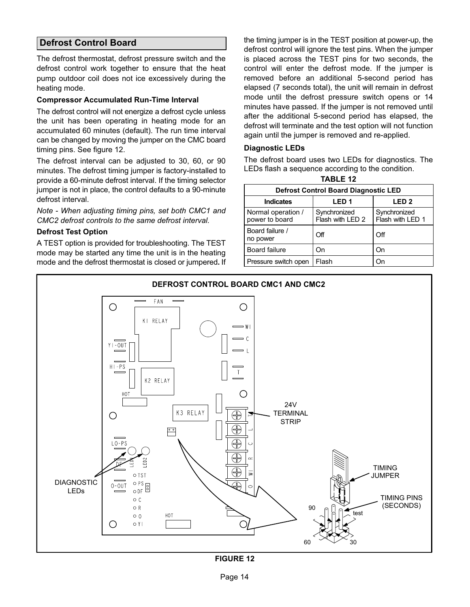# Defrost Control Board

The defrost thermostat, defrost pressure switch and the defrost control work together to ensure that the heat pump outdoor coil does not ice excessively during the heating mode.

#### Compressor Accumulated Run−Time Interval

The defrost control will not energize a defrost cycle unless the unit has been operating in heating mode for an accumulated 60 minutes (default). The run time interval can be changed by moving the jumper on the CMC board timing pins. See figure 12.

The defrost interval can be adjusted to 30, 60, or 90 minutes. The defrost timing jumper is factory−installed to provide a 60−minute defrost interval. If the timing selector jumper is not in place, the control defaults to a 90−minute defrost interval.

Note − When adjusting timing pins, set both CMC1 and CMC2 defrost controls to the same defrost interval.

#### Defrost Test Option

A TEST option is provided for troubleshooting. The TEST mode may be started any time the unit is in the heating mode and the defrost thermostat is closed or jumpered. If

the timing jumper is in the TEST position at power-up, the defrost control will ignore the test pins. When the jumper is placed across the TEST pins for two seconds, the control will enter the defrost mode. If the jumper is removed before an additional 5−second period has elapsed (7 seconds total), the unit will remain in defrost mode until the defrost pressure switch opens or 14 minutes have passed. If the jumper is not removed until after the additional 5−second period has elapsed, the defrost will terminate and the test option will not function again until the jumper is removed and re−applied.

#### Diagnostic LEDs

The defrost board uses two LEDs for diagnostics. The LEDs flash a sequence according to the condition. TABLE 12

| <b>Defrost Control Board Diagnostic LED</b> |                                  |                                  |  |
|---------------------------------------------|----------------------------------|----------------------------------|--|
| <b>Indicates</b>                            | LED <sub>1</sub>                 | LED <sub>2</sub>                 |  |
| Normal operation /<br>power to board        | Synchronized<br>Flash with LED 2 | Synchronized<br>Flash with LED 1 |  |
| Board failure /<br>no power                 | Off                              | Off                              |  |
| <b>Board failure</b>                        | On                               | On                               |  |
| Pressure switch open                        | Flash                            | Dп                               |  |